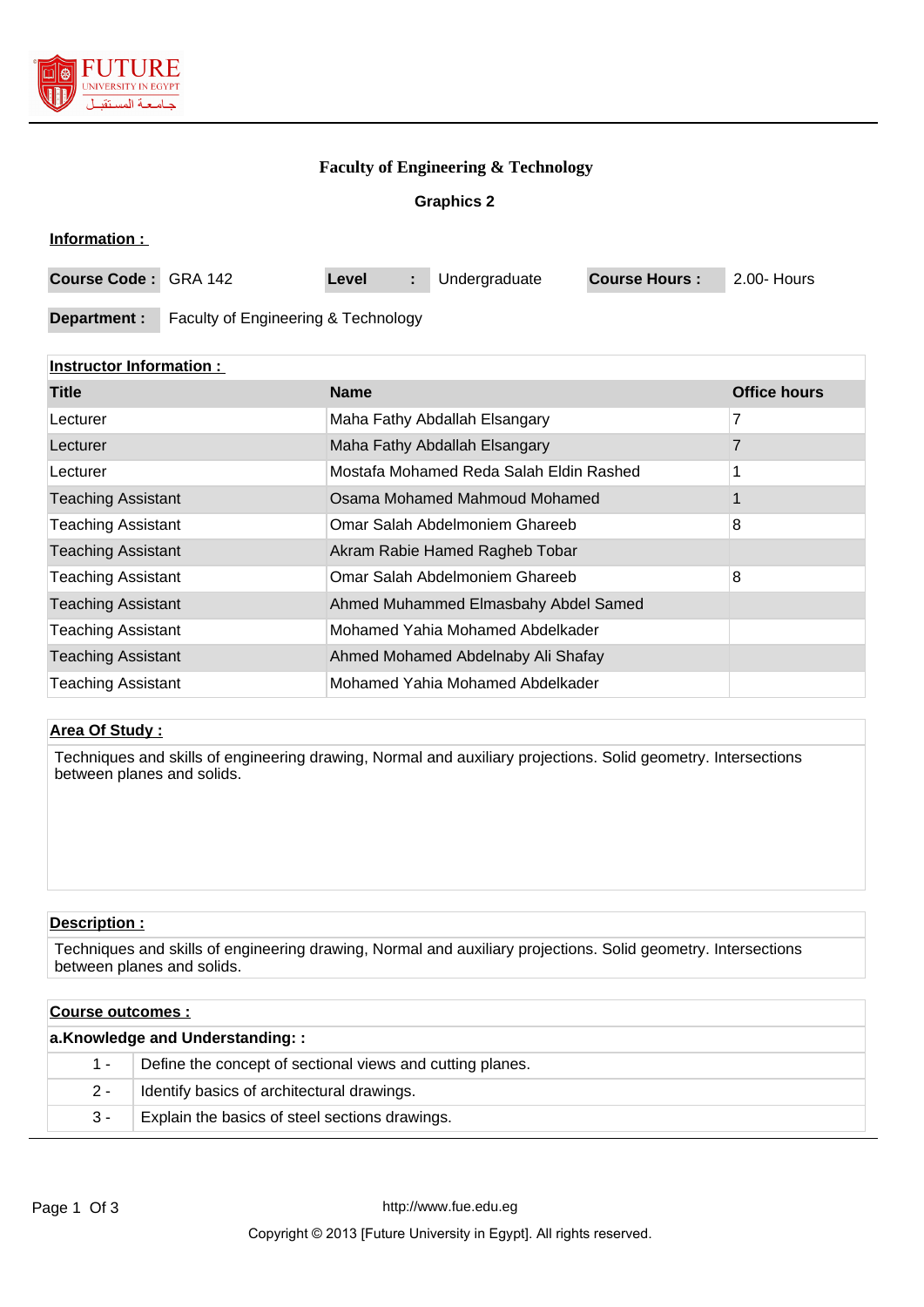

### **Faculty of Engineering & Technology**

### **Graphics 2**

| Information :        |                                     |       |               |                      |             |
|----------------------|-------------------------------------|-------|---------------|----------------------|-------------|
| Course Code: GRA 142 |                                     | Level | Undergraduate | <b>Course Hours:</b> | 2.00- Hours |
| Department :         | Faculty of Engineering & Technology |       |               |                      |             |

## **Instructor Information :**

| <b>Title</b>              | <b>Name</b>                             | <b>Office hours</b> |
|---------------------------|-----------------------------------------|---------------------|
| Lecturer                  | Maha Fathy Abdallah Elsangary           |                     |
| Lecturer                  | Maha Fathy Abdallah Elsangary           |                     |
| Lecturer                  | Mostafa Mohamed Reda Salah Eldin Rashed |                     |
| <b>Teaching Assistant</b> | Osama Mohamed Mahmoud Mohamed           |                     |
| <b>Teaching Assistant</b> | Omar Salah Abdelmoniem Ghareeb          | 8                   |
| <b>Teaching Assistant</b> | Akram Rabie Hamed Ragheb Tobar          |                     |
| <b>Teaching Assistant</b> | Omar Salah Abdelmoniem Ghareeb          | 8                   |
| <b>Teaching Assistant</b> | Ahmed Muhammed Elmasbahy Abdel Samed    |                     |
| <b>Teaching Assistant</b> | Mohamed Yahia Mohamed Abdelkader        |                     |
| <b>Teaching Assistant</b> | Ahmed Mohamed Abdelnaby Ali Shafay      |                     |
| <b>Teaching Assistant</b> | Mohamed Yahia Mohamed Abdelkader        |                     |

## **Area Of Study :**

Techniques and skills of engineering drawing, Normal and auxiliary projections. Solid geometry. Intersections between planes and solids.

### **Description :**

Techniques and skills of engineering drawing, Normal and auxiliary projections. Solid geometry. Intersections between planes and solids.

| Course outcomes :               |                                                           |  |  |
|---------------------------------|-----------------------------------------------------------|--|--|
| a.Knowledge and Understanding:: |                                                           |  |  |
| 1 -                             | Define the concept of sectional views and cutting planes. |  |  |
| $2 -$                           | Identify basics of architectural drawings.                |  |  |
| $3 -$                           | Explain the basics of steel sections drawings.            |  |  |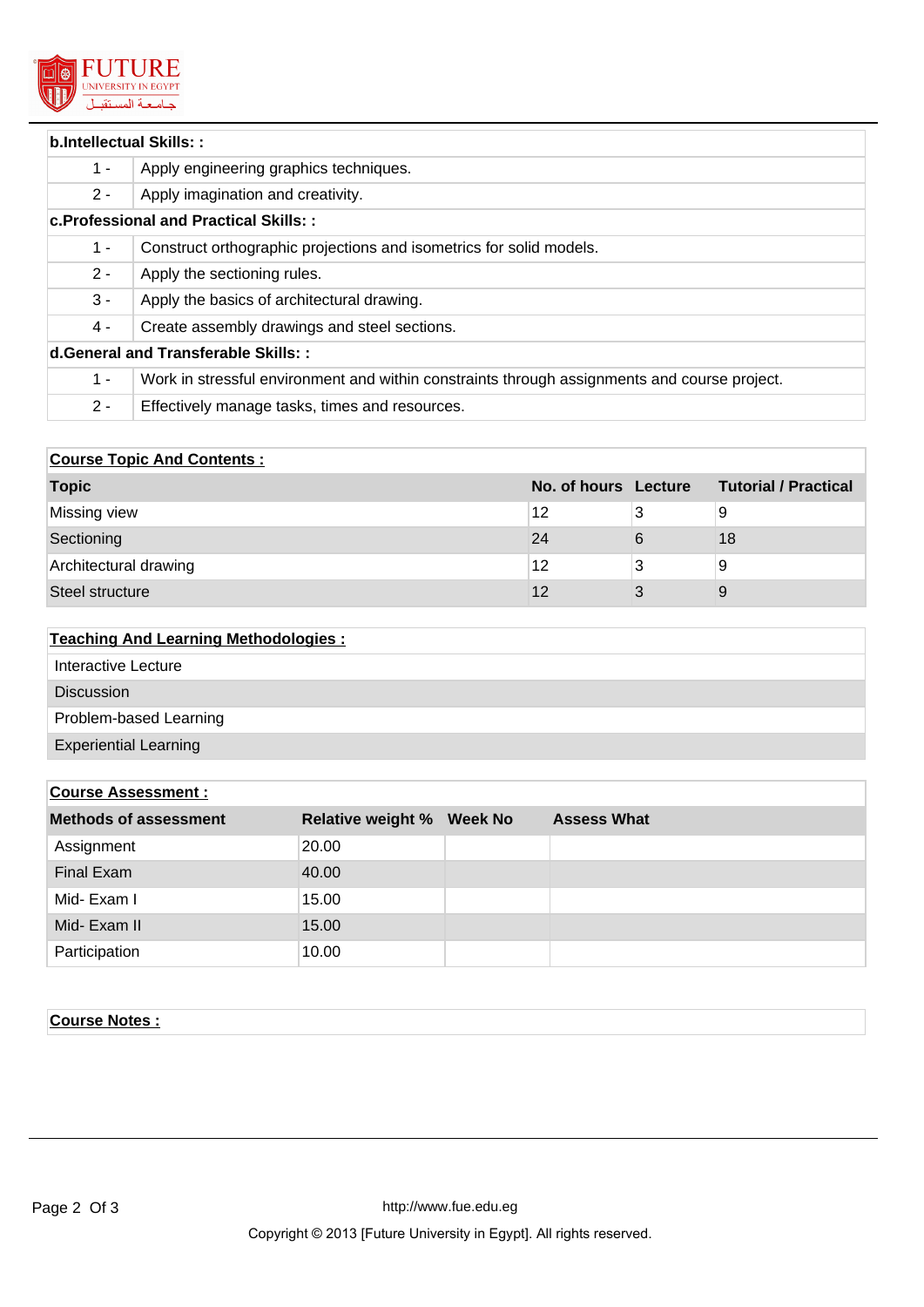

| b.Intellectual Skills::              |                                                                                              |  |  |  |  |
|--------------------------------------|----------------------------------------------------------------------------------------------|--|--|--|--|
| $1 -$                                | Apply engineering graphics techniques.                                                       |  |  |  |  |
| $2 -$                                | Apply imagination and creativity.                                                            |  |  |  |  |
|                                      | c. Professional and Practical Skills::                                                       |  |  |  |  |
| $1 -$                                | Construct orthographic projections and isometrics for solid models.                          |  |  |  |  |
| $2 -$                                | Apply the sectioning rules.                                                                  |  |  |  |  |
| $3 -$                                | Apply the basics of architectural drawing.                                                   |  |  |  |  |
| 4 -                                  | Create assembly drawings and steel sections.                                                 |  |  |  |  |
| d. General and Transferable Skills:: |                                                                                              |  |  |  |  |
| $1 -$                                | Work in stressful environment and within constraints through assignments and course project. |  |  |  |  |
| $2 -$                                | Effectively manage tasks, times and resources.                                               |  |  |  |  |

# **Course Topic And Contents :**

| <b>Topic</b>          | No. of hours Lecture |   | <b>Tutorial / Practical</b> |
|-----------------------|----------------------|---|-----------------------------|
| Missing view          | 12                   |   | 9                           |
| Sectioning            | 24                   | 6 | 18                          |
| Architectural drawing | 12                   | 3 | 9                           |
| Steel structure       | 12                   |   | 9                           |

# **Teaching And Learning Methodologies :**

| <b>Discussion</b><br>Problem-based Learning<br><b>Experiential Learning</b> | Interactive Lecture |
|-----------------------------------------------------------------------------|---------------------|
|                                                                             |                     |
|                                                                             |                     |
|                                                                             |                     |

| <b>Course Assessment:</b>    |                          |                |                    |  |
|------------------------------|--------------------------|----------------|--------------------|--|
| <b>Methods of assessment</b> | <b>Relative weight %</b> | <b>Week No</b> | <b>Assess What</b> |  |
| Assignment                   | 20.00                    |                |                    |  |
| <b>Final Exam</b>            | 40.00                    |                |                    |  |
| Mid-Exam I                   | 15.00                    |                |                    |  |
| Mid- Exam II                 | 15.00                    |                |                    |  |
| Participation                | 10.00                    |                |                    |  |

## **Course Notes :**